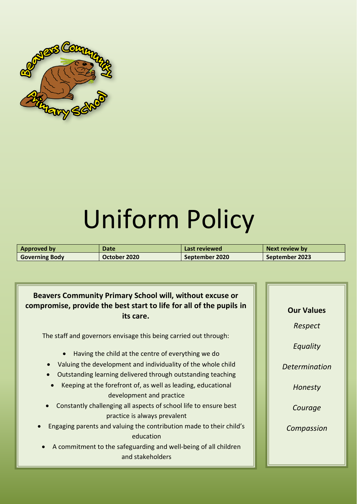

# Uniform Policy

| Approved by           | <b>Date</b>  | Last reviewed  | Next review by |
|-----------------------|--------------|----------------|----------------|
| <b>Governing Body</b> | October 2020 | September 2020 | September 2023 |

# **Beavers Community Primary School will, without excuse or compromise, provide the best start to life for all of the pupils in its care.**

The staff and governors envisage this being carried out through:

- Having the child at the centre of everything we do
- Valuing the development and individuality of the whole child
- Outstanding learning delivered through outstanding teaching
- Keeping at the forefront of, as well as leading, educational development and practice
- Constantly challenging all aspects of school life to ensure best practice is always prevalent
- Engaging parents and valuing the contribution made to their child's education
- A commitment to the safeguarding and well-being of all children and stakeholders

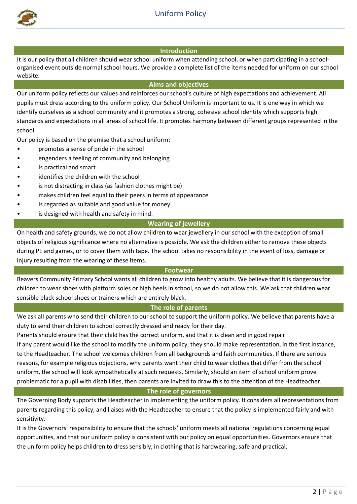

# **Introduction**

It is our policy that all children should wear school uniform when attending school, or when participating in a schoolorganised event outside normal school hours. We provide a complete list of the items needed for uniform on our school website.

## **Aims and objectives**

Our uniform policy reflects our values and reinforces our school's culture of high expectations and achievement. All pupils must dress according to the uniform policy. Our School Uniform is important to us. It is one way in which we identify ourselves as a school community and it promotes a strong, cohesive school identity which supports high standards and expectations in all areas of school life. It promotes harmony between different groups represented in the school.

Our policy is based on the premise that a school uniform:

- promotes a sense of pride in the school
- engenders a feeling of community and belonging
- is practical and smart
- identifies the children with the school
- is not distracting in class (as fashion clothes might be)
- makes children feel equal to their peers in terms of appearance
- is regarded as suitable and good value for money
- is designed with health and safety in mind.

# **Wearing of jewellery**

On health and safety grounds, we do not allow children to wear jewellery in our school with the exception of small objects of religious significance where no alternative is possible. We ask the children either to remove these objects during PE and games, or to cover them with tape. The school takes no responsibility in the event of loss, damage or injury resulting from the wearing of these items.

#### **Footwear**

Beavers Community Primary School wants all children to grow into healthy adults. We believe that it is dangerous for children to wear shoes with platform soles or high heels in school, so we do not allow this. We ask that children wear sensible black school shoes or trainers which are entirely black.

# **The role of parents**

We ask all parents who send their children to our school to support the uniform policy. We believe that parents have a duty to send their children to school correctly dressed and ready for their day.

Parents should ensure that their child has the correct uniform, and that it is clean and in good repair.

If any parent would like the school to modify the uniform policy, they should make representation, in the first instance, to the Headteacher. The school welcomes children from all backgrounds and faith communities. If there are serious reasons, for example religious objections, why parents want their child to wear clothes that differ from the school uniform, the school will look sympathetically at such requests. Similarly, should an item of school uniform prove problematic for a pupil with disabilities, then parents are invited to draw this to the attention of the Headteacher.

**The role of governors**

The Governing Body supports the Headteacher in implementing the uniform policy. It considers all representations from parents regarding this policy, and liaises with the Headteacher to ensure that the policy is implemented fairly and with sensitivity.

It is the Governors' responsibility to ensure that the schools' uniform meets all national regulations concerning equal opportunities, and that our uniform policy is consistent with our policy on equal opportunities. Governors ensure that the uniform policy helps children to dress sensibly, in clothing that is hardwearing, safe and practical.